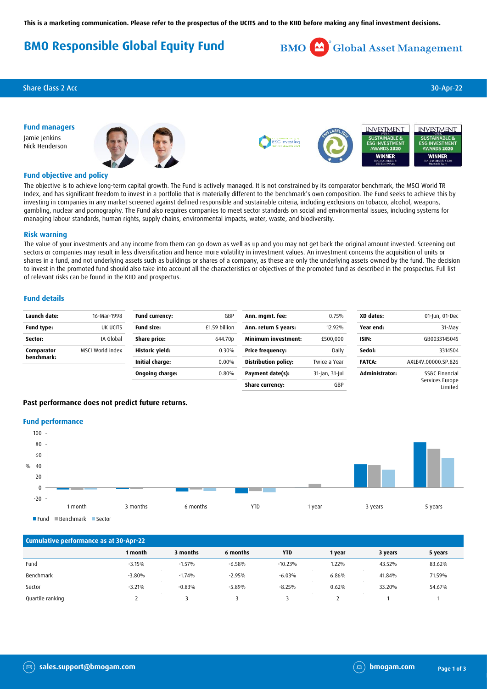# **BMO Responsible Global Equity Fund**



### Share Class 2 Acc 30-Apr-22

**Fund managers** Jamie Jenkins Nick Henderson





#### **Fund objective and policy**

The objective is to achieve long-term capital growth. The Fund is actively managed. It is not constrained by its comparator benchmark, the MSCI World TR Index, and has significant freedom to invest in a portfolio that is materially different to the benchmark's own composition. The Fund seeks to achieve this by investing in companies in any market screened against defined responsible and sustainable criteria, including exclusions on tobacco, alcohol, weapons, gambling, nuclear and pornography. The Fund also requires companies to meet sector standards on social and environmental issues, including systems for managing labour standards, human rights, supply chains, environmental impacts, water, waste, and biodiversity.

#### **Risk warning**

The value of your investments and any income from them can go down as well as up and you may not get back the original amount invested. Screening out sectors or companies may result in less diversification and hence more volatility in investment values. An investment concerns the acquisition of units or shares in a fund, and not underlying assets such as buildings or shares of a company, as these are only the underlying assets owned by the fund. The decision to invest in the promoted fund should also take into account all the characteristics or objectives of the promoted fund as described in the prospectus. Full list of relevant risks can be found in the KIID and prospectus.

#### **Fund details**

| Launch date: | 16-Mar-1998      | Fund currency:    | GBP                 | Ann. mgmt. fee:             | 0.75%          | XD dates:      | 01-Jun, 01-Dec              |
|--------------|------------------|-------------------|---------------------|-----------------------------|----------------|----------------|-----------------------------|
| Fund type:   | UK UCITS         | <b>Fund size:</b> | £1.59 billion       | Ann. return 5 years:        | 12.92%         | Year end:      | 31-May                      |
| Sector:      | IA Global        | Share price:      | 644.70 <sub>D</sub> | <b>Minimum investment:</b>  | £500,000       | ISIN:          | GB0033145045                |
| Comparator   | MSCI World index | Historic yield:   | 0.30%               | <b>Price frequency:</b>     | Daily          | Sedol:         | 3314504                     |
| benchmark:   |                  | Initial charge:   | 0.00%               | <b>Distribution policy:</b> | Twice a Year   | <b>FATCA:</b>  | AXLE4V.00000.SP.826         |
|              |                  | Ongoing charge:   | 0.80%               | Payment date(s):            | 31-Jan, 31-Jul | Administrator: | SS&C Financial              |
|              |                  |                   |                     | Share currency:             | GBP            |                | Services Europe<br>I imited |

### **Past performance does not predict future returns.**

#### **Fund performance**



**Cumulative performance as at 30-Apr-22 1 month 3 months 6 months YTD 1 year 3 years 5 years** Fund -3.15% -1.57% -6.58% -10.23% 1.22% 43.52% 83.62% Benchmark -3.80% -1.74% -2.95% -6.03% 6.86% 41.84% 71.59% Sector -3.21% -0.83% -5.89% -8.25% 0.62% 33.20% 54.67% Quartile ranking 2 3 3 3 2 1 1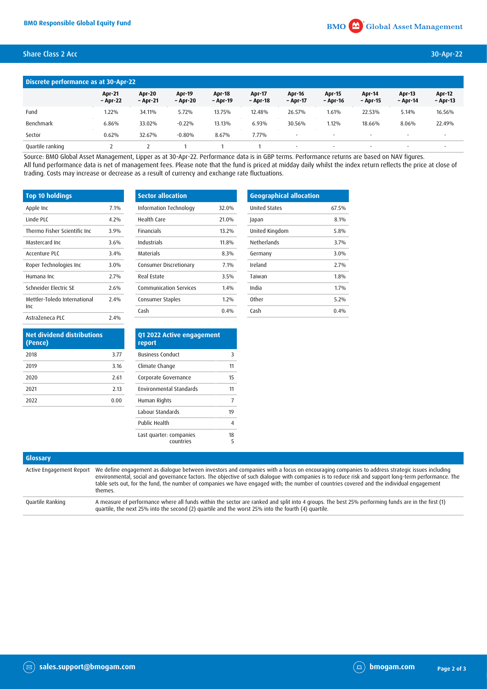## Share Class 2 Acc 30-Apr-22

| Discrete performance as at 30-Apr-22 |                           |                           |                           |                           |                    |                           |                           |                          |                           |                           |
|--------------------------------------|---------------------------|---------------------------|---------------------------|---------------------------|--------------------|---------------------------|---------------------------|--------------------------|---------------------------|---------------------------|
|                                      | <b>Apr-21</b><br>- Apr-22 | <b>Apr-20</b><br>- Apr-21 | <b>Apr-19</b><br>- Apr-20 | <b>Apr-18</b><br>- Apr-19 | Apr-17<br>- Apr-18 | <b>Apr-16</b><br>- Apr-17 | <b>Apr-15</b><br>- Apr-16 | Apr-14<br>- Apr-15       | <b>Apr-13</b><br>- Apr-14 | <b>Apr-12</b><br>– Apr-13 |
| Fund                                 | 1.22%                     | 34.11%                    | 5.72%                     | 13.75%                    | 12.48%             | 26.57%                    | 1.61%                     | 22.53%                   | 5.14%                     | 16.56%                    |
| Benchmark                            | 6.86%                     | 33.02%                    | $-0.22%$                  | 13.13%                    | 6.93%              | 30.56%                    | 1.12%                     | 18.66%                   | 8.06%                     | 22.49%                    |
| Sector                               | 0.62%                     | 32.67%                    | $-0.80%$                  | 8.67%                     | 7.77%              |                           |                           | $\overline{\phantom{a}}$ |                           | $\sim$                    |
| Quartile ranking                     |                           |                           |                           |                           |                    |                           |                           |                          |                           |                           |

Source: BMO Global Asset Management, Lipper as at 30-Apr-22. Performance data is in GBP terms. Performance returns are based on NAV figures. All fund performance data is net of management fees. Please note that the fund is priced at midday daily whilst the index return reflects the price at close of trading. Costs may increase or decrease as a result of currency and exchange rate fluctuations.

| <b>Top 10 holdings</b>       |         | Sec   |
|------------------------------|---------|-------|
| Apple Inc                    | 7.1%    | Infor |
| Linde PLC                    | 4.2%    | Heal  |
| Thermo Fisher Scientific Inc | 3.9%    | Finai |
| Mastercard Inc.              | 3.6%    | Indu  |
| Accenture PLC                | 3.4%    | Mate  |
| Roper Technologies Inc       | $3.0\%$ | Cons  |
| Humana Inc                   | 2.7%    | Real  |
| Schneider Electric SE        | 2.6%    | Com   |
| Mettler-Toledo International | 2.4%    | Cons  |
| Inc                          |         | Cash  |
| AstraZeneca PLC              | 2.4%    |       |

| <b>Sector allocation</b>      |       |
|-------------------------------|-------|
| Information Technology        | 32.0% |
| Health Care                   | 21.0% |
| <b>Financials</b>             | 13.2% |
| Industrials                   | 11 8% |
| Materials                     | 8.3%  |
| Consumer Discretionary        | 71%   |
| Real Estate                   | 3.5%  |
| <b>Communication Services</b> | 1.4%  |
| Consumer Staples              | 12%   |
| Cash                          | 0.4%  |

| <b>Geographical allocation</b> |         |
|--------------------------------|---------|
| <b>United States</b>           | 67.5%   |
| Japan                          | 8.1%    |
| United Kingdom                 | 5.8%    |
| Netherlands                    | 3.7%    |
| Germany                        | $3.0\%$ |
| Ireland                        | 2.7%    |
| Taiwan                         | 1.8%    |
| India                          | 1.7%    |
| Other                          | 5.2%    |
| Cash                           | 0.4%    |
|                                |         |

| <b>Net dividend distributions</b><br>(Pence) |      |  |
|----------------------------------------------|------|--|
| 2018                                         | 3.77 |  |
| 2019                                         | 3.16 |  |
| 2020                                         | 2.61 |  |
| 2021                                         | 2.13 |  |
| 2022                                         | 0.00 |  |

| Q1 2022 Active engagement<br>report  |         |
|--------------------------------------|---------|
| <b>Business Conduct</b>              | 3       |
| Climate Change                       | 11      |
| Corporate Governance                 | 15      |
| <b>Environmental Standards</b>       | 11      |
| Human Rights                         | 7       |
| Labour Standards                     | 19      |
| Public Health                        | Δ       |
| Last quarter: companies<br>countries | 18<br>5 |

| Glossary         |                                                                                                                                                                                                                                                                                                                                                                                                                                                                                       |
|------------------|---------------------------------------------------------------------------------------------------------------------------------------------------------------------------------------------------------------------------------------------------------------------------------------------------------------------------------------------------------------------------------------------------------------------------------------------------------------------------------------|
|                  | Active Engagement Report We define engagement as dialogue between investors and companies with a focus on encouraging companies to address strategic issues including<br>environmental, social and governance factors. The objective of such dialogue with companies is to reduce risk and support long-term performance. The<br>table sets out, for the fund, the number of companies we have engaged with; the number of countries covered and the individual engagement<br>themes. |
| Quartile Ranking | A measure of performance where all funds within the sector are ranked and split into 4 groups. The best 25% performing funds are in the first (1)<br>quartile, the next 25% into the second (2) quartile and the worst 25% into the fourth (4) quartile.                                                                                                                                                                                                                              |